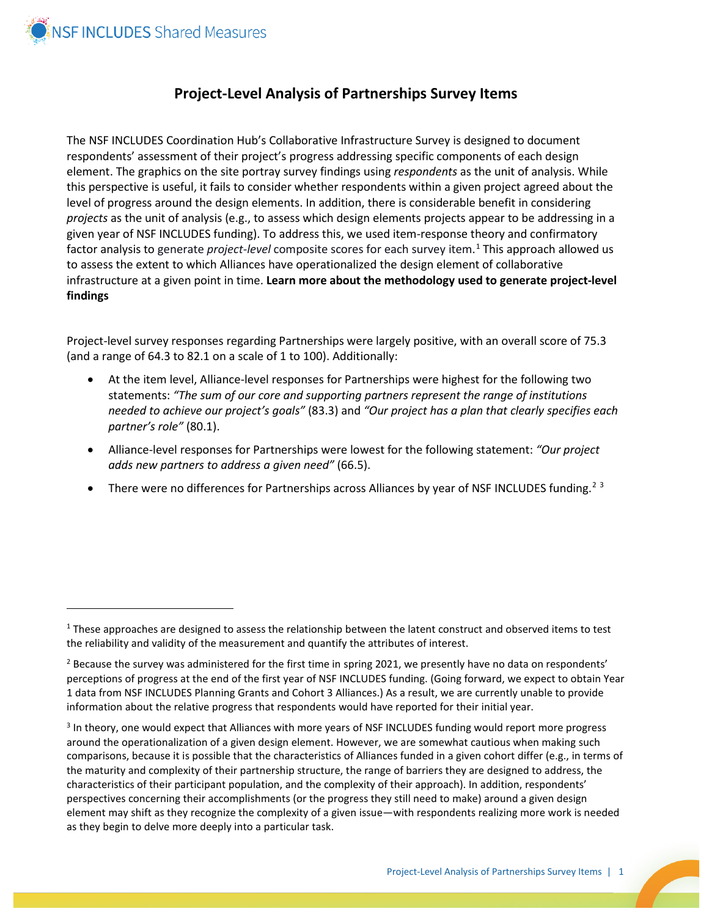

 $\overline{a}$ 

## **Project-Level Analysis of Partnerships Survey Items**

The NSF INCLUDES Coordination Hub's Collaborative Infrastructure Survey is designed to document respondents' assessment of their project's progress addressing specific components of each design element. The graphics on the site portray survey findings using *respondents* as the unit of analysis. While this perspective is useful, it fails to consider whether respondents within a given project agreed about the level of progress around the design elements. In addition, there is considerable benefit in considering *projects* as the unit of analysis (e.g., to assess which design elements projects appear to be addressing in a given year of NSF INCLUDES funding). To address this, we used item-response theory and confirmatory factor analysis to generate *project-level* composite scores for each survey item.[1](#page-0-0) This approach allowed us to assess the extent to which Alliances have operationalized the design element of collaborative infrastructure at a given point in time. **Learn more about the methodology used to generate project-level findings**

Project-level survey responses regarding Partnerships were largely positive, with an overall score of 75.3 (and a range of 64.3 to 82.1 on a scale of 1 to 100). Additionally:

- At the item level, Alliance-level responses for Partnerships were highest for the following two statements: *"The sum of our core and supporting partners represent the range of institutions needed to achieve our project's goals"* (83.3) and *"Our project has a plan that clearly specifies each partner's role"* (80.1).
- Alliance-level responses for Partnerships were lowest for the following statement: *"Our project adds new partners to address a given need"* (66.5).
- There were no differences for Partnerships across Alliances by year of NSF INCLUDES funding.<sup>[2](#page-0-1)[3](#page-0-2)</sup>

<span id="page-0-0"></span> $1$  These approaches are designed to assess the relationship between the latent construct and observed items to test the reliability and validity of the measurement and quantify the attributes of interest.

<span id="page-0-1"></span> $<sup>2</sup>$  Because the survey was administered for the first time in spring 2021, we presently have no data on respondents'</sup> perceptions of progress at the end of the first year of NSF INCLUDES funding. (Going forward, we expect to obtain Year 1 data from NSF INCLUDES Planning Grants and Cohort 3 Alliances.) As a result, we are currently unable to provide information about the relative progress that respondents would have reported for their initial year.

<span id="page-0-2"></span><sup>&</sup>lt;sup>3</sup> In theory, one would expect that Alliances with more years of NSF INCLUDES funding would report more progress around the operationalization of a given design element. However, we are somewhat cautious when making such comparisons, because it is possible that the characteristics of Alliances funded in a given cohort differ (e.g., in terms of the maturity and complexity of their partnership structure, the range of barriers they are designed to address, the characteristics of their participant population, and the complexity of their approach). In addition, respondents' perspectives concerning their accomplishments (or the progress they still need to make) around a given design element may shift as they recognize the complexity of a given issue—with respondents realizing more work is needed as they begin to delve more deeply into a particular task.